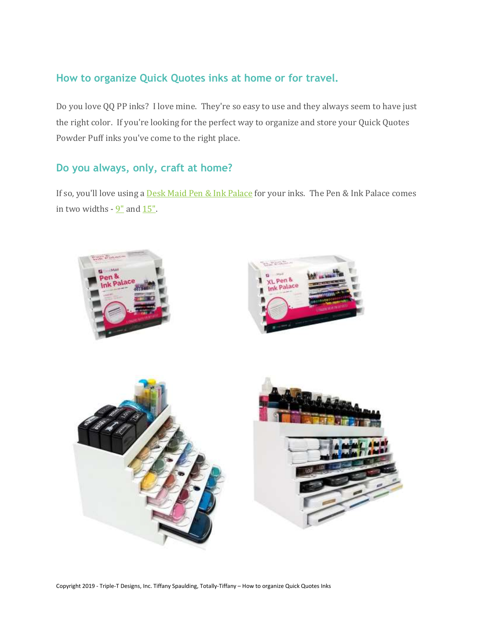## **How to organize Quick Quotes inks at home or for travel.**

Do you love QQ PP inks? I love mine. They're so easy to use and they always seem to have just the right color. If you're looking for the perfect way to organize and store your Quick Quotes Powder Puff inks you've come to the right place.

### **Do you always, only, craft at home?**

If so, you'll love using a **Desk Maid Pen & Ink [Palace](https://www.totally-tiffany.com/product-category/craft-room-workspace-organizer/)** for your inks. The Pen & Ink Palace comes in two widths  $-9"$  $-9"$  and  $15"$ .





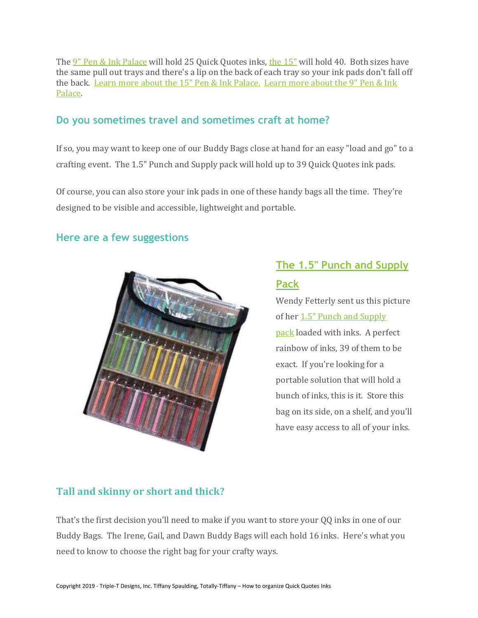The 9" Pen & Ink [Palace](https://www.totally-tiffany.com/product/craft-marker-organizer-craftoom-ideas/) will hold 25 Quick Quotes inks, the [15"](https://www.totally-tiffany.com/product/desktop-ink-pad-storage/) will hold 40. Both sizes have the same pull out trays and there's a lip on the back of each tray so your ink pads don't fall off the back. Learn more about the 15" Pen & Ink [Palace.](https://www.totally-tiffany.com/product/desktop-ink-pad-storage/) [Learn](https://www.totally-tiffany.com/product/craft-marker-organizer-craftoom-ideas/) more about the 9" Pen & Ink [Palace.](https://www.totally-tiffany.com/product/craft-marker-organizer-craftoom-ideas/)

#### **Do you sometimes travel and sometimes craft at home?**

If so, you may want to keep one of our Buddy Bags close at hand for an easy "load and go" to a crafting event. The 1.5" Punch and Supply pack will hold up to 39 Quick Quotes ink pads.

Of course, you can also store your ink pads in one of these handy bags all the time. They're designed to be visible and accessible, lightweight and portable.

#### **Here are a few suggestions**



# **The 1.5" Punch and [Supply](https://www.totally-tiffany.com/product/punch-storage-and-organization/)**

# **[Pack](https://www.totally-tiffany.com/product/punch-storage-and-organization/)**

Wendy Fetterly sent us this picture of her 1.5" Punch and [Supply](https://www.totally-tiffany.com/product/punch-storage-and-organization/) [pack](https://www.totally-tiffany.com/product/punch-storage-and-organization/) loaded with inks. A perfect rainbow of inks, 39 of them to be exact. If you're looking for a portable solution that will hold a bunch of inks, this is it. Store this bag on its side, on a shelf, and you'll have easy access to all of your inks.

## **Tall and skinny or short and thick?**

That's the first decision you'll need to make if you want to store your QQ inks in one of our Buddy Bags. The Irene, Gail, and Dawn Buddy Bags will each hold 16 inks. Here's what you need to know to choose the right bag for your crafty ways.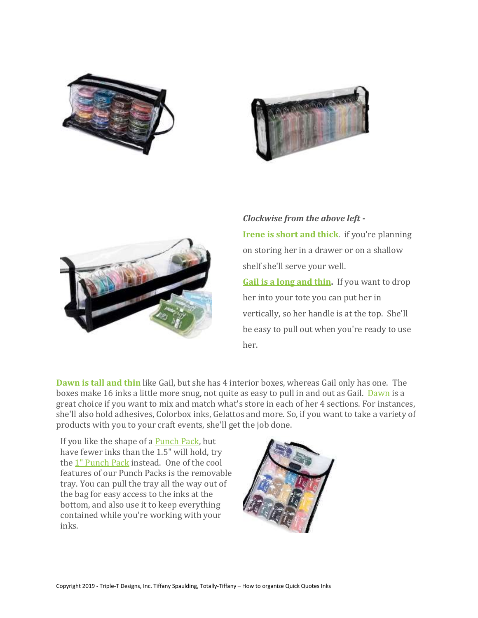





*Clockwise from the above left -* **[Irene](https://www.totally-tiffany.com/product/ink-pad-organizer-bag-ctmh-tim-holtz-qq/) is short and thick**. if you're planning on storing her in a drawer or on a shallow shelf she'll serve your well. **Gail is a long and [thin.](https://www.totally-tiffany.com/product/gail-craft-paint-spray-organizer/)** If you want to drop her into your tote you can put her in vertically, so her handle is at the top. She'll

be easy to pull out when you're ready to use her.

**[Dawn](https://www.totally-tiffany.com/product/organize-gelatos-inks/) is tall and thin** like Gail, but she has 4 interior boxes, whereas Gail only has one. The boxes make 16 inks a little more snug, not quite as easy to pull in and out as Gail. [Dawn](https://www.totally-tiffany.com/product/organize-gelatos-inks/) is a great choice if you want to mix and match what's store in each of her 4 sections. For instances, she'll also hold adhesives, Colorbox inks, Gelattos and more. So, if you want to take a variety of products with you to your craft events, she'll get the job done.

If you like the shape of a **[Punch](https://www.totally-tiffany.com/product-category/punch-supply-packs-organize-punches/) Pack**, but have fewer inks than the 1.5" will hold, try the 1" [Punch](https://www.totally-tiffany.com/product/stamp-punch-store-and-go-bag/) Pack instead. One of the cool features of our Punch Packs is the removable tray. You can pull the tray all the way out of the bag for easy access to the inks at the bottom, and also use it to keep everything contained while you're working with your inks.